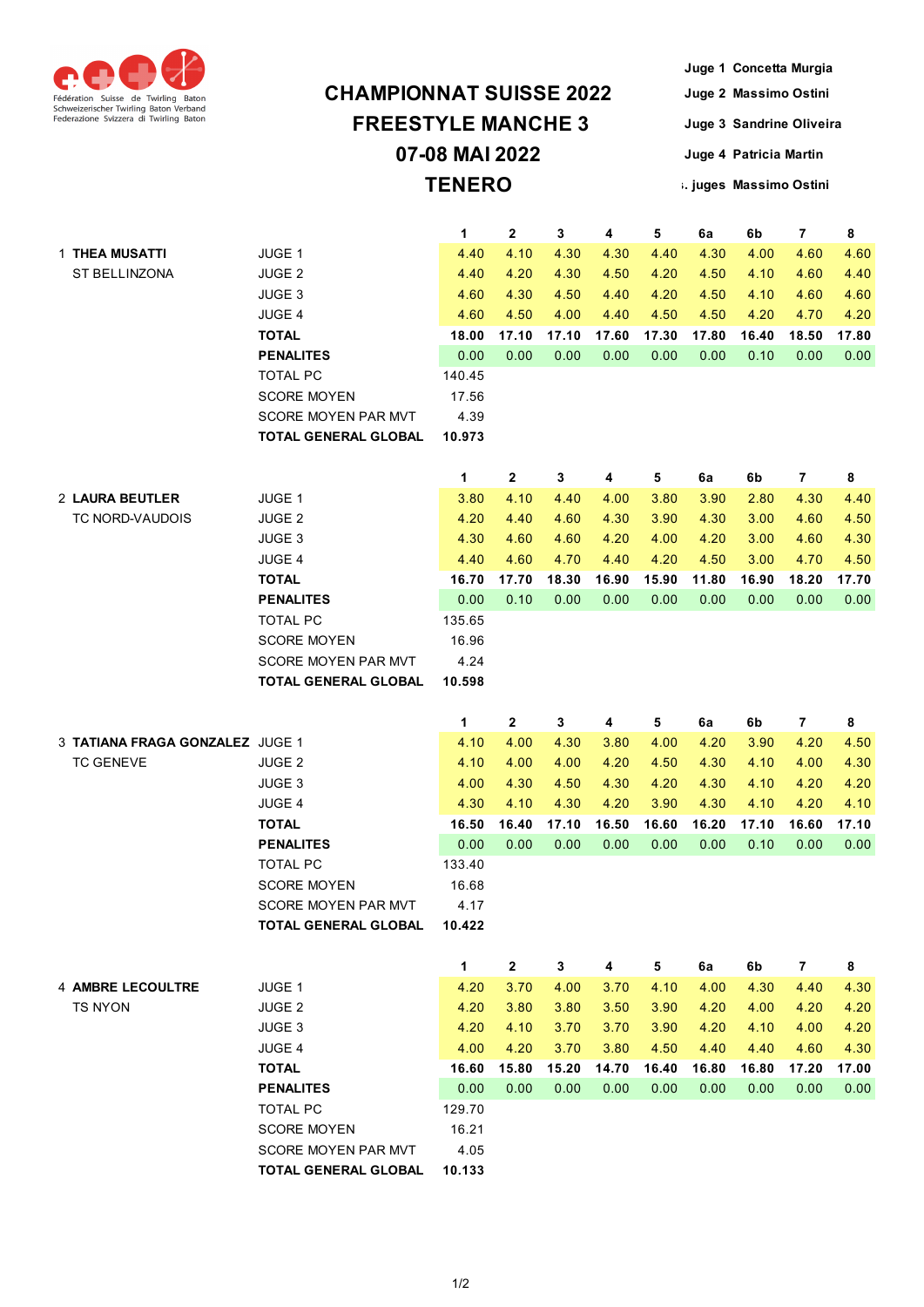

## **07-08 MAI 2022 TENERO CHAMPIONNAT SUISSE 2022 FREESTYLE MANCHE 3**

**Juge 1 Concetta Murgia Juge 2 Massimo Ostini Juge 3 Sandrine Oliveira Juge 4 Patricia Martin Prés. juges Massimo Ostini**

|                                 |                             | $\mathbf{1}$ | 2            | 3            | 4     | 5     | 6a    | 6b    | $\overline{7}$ | 8     |
|---------------------------------|-----------------------------|--------------|--------------|--------------|-------|-------|-------|-------|----------------|-------|
| 1 THEA MUSATTI                  | JUGE 1                      | 4.40         | 4.10         | 4.30         | 4.30  | 4.40  | 4.30  | 4.00  | 4.60           | 4.60  |
| ST BELLINZONA                   | <b>JUGE 2</b>               | 4.40         | 4.20         | 4.30         | 4.50  | 4.20  | 4.50  | 4.10  | 4.60           | 4.40  |
|                                 | JUGE 3                      | 4.60         | 4.30         | 4.50         | 4.40  | 4.20  | 4.50  | 4.10  | 4.60           | 4.60  |
|                                 | <b>JUGE 4</b>               | 4.60         | 4.50         | 4.00         | 4.40  | 4.50  | 4.50  | 4.20  | 4.70           | 4.20  |
|                                 | <b>TOTAL</b>                | 18.00        | 17.10        | 17.10        | 17.60 | 17.30 | 17.80 | 16.40 | 18.50          | 17.80 |
|                                 | <b>PENALITES</b>            | 0.00         | 0.00         | 0.00         | 0.00  | 0.00  | 0.00  | 0.10  | 0.00           | 0.00  |
|                                 | <b>TOTAL PC</b>             | 140.45       |              |              |       |       |       |       |                |       |
|                                 | <b>SCORE MOYEN</b>          | 17.56        |              |              |       |       |       |       |                |       |
|                                 | SCORE MOYEN PAR MVT         | 4.39         |              |              |       |       |       |       |                |       |
|                                 | <b>TOTAL GENERAL GLOBAL</b> | 10.973       |              |              |       |       |       |       |                |       |
|                                 |                             | 1            | 2            | 3            | 4     | 5     | 6a    | 6b    | $\overline{7}$ | 8     |
| 2 LAURA BEUTLER                 | JUGE 1                      | 3.80         | 4.10         | 4.40         | 4.00  | 3.80  | 3.90  | 2.80  | 4.30           | 4.40  |
| TC NORD-VAUDOIS                 | <b>JUGE 2</b>               | 4.20         | 4.40         | 4.60         | 4.30  | 3.90  | 4.30  | 3.00  | 4.60           | 4.50  |
|                                 | JUGE 3                      | 4.30         | 4.60         | 4.60         | 4.20  | 4.00  | 4.20  | 3.00  | 4.60           | 4.30  |
|                                 | JUGE 4                      | 4.40         | 4.60         | 4.70         | 4.40  | 4.20  | 4.50  | 3.00  | 4.70           | 4.50  |
|                                 | <b>TOTAL</b>                | 16.70        | 17.70        | 18.30        | 16.90 | 15.90 | 11.80 | 16.90 | 18.20          | 17.70 |
|                                 | <b>PENALITES</b>            | 0.00         | 0.10         | 0.00         | 0.00  | 0.00  | 0.00  | 0.00  | 0.00           | 0.00  |
|                                 | <b>TOTAL PC</b>             | 135.65       |              |              |       |       |       |       |                |       |
|                                 | <b>SCORE MOYEN</b>          | 16.96        |              |              |       |       |       |       |                |       |
|                                 | SCORE MOYEN PAR MVT         | 4.24         |              |              |       |       |       |       |                |       |
|                                 | TOTAL GENERAL GLOBAL        | 10.598       |              |              |       |       |       |       |                |       |
|                                 |                             |              |              |              |       |       |       |       |                |       |
|                                 |                             | 1            | $\mathbf{2}$ | 3            | 4     | 5     | 6a    | 6b    | $\overline{7}$ | 8     |
| 3 TATIANA FRAGA GONZALEZ JUGE 1 |                             | 4.10         | 4.00         | 4.30         | 3.80  | 4.00  | 4.20  | 3.90  | 4.20           | 4.50  |
| <b>TC GENEVE</b>                | <b>JUGE 2</b>               | 4.10         | 4.00         | 4.00         | 4.20  | 4.50  | 4.30  | 4.10  | 4.00           | 4.30  |
|                                 | JUGE 3                      | 4.00         | 4.30         | 4.50         | 4.30  | 4.20  | 4.30  | 4.10  | 4.20           | 4.20  |
|                                 | JUGE 4                      | 4.30         | 4.10         | 4.30         | 4.20  | 3.90  | 4.30  | 4.10  | 4.20           | 4.10  |
|                                 | <b>TOTAL</b>                | 16.50        | 16.40        | 17.10        | 16.50 | 16.60 | 16.20 | 17.10 | 16.60          | 17.10 |
|                                 | <b>PENALITES</b>            | 0.00         | 0.00         | 0.00         | 0.00  | 0.00  | 0.00  | 0.10  | 0.00           | 0.00  |
|                                 | <b>TOTAL PC</b>             | 133.40       |              |              |       |       |       |       |                |       |
|                                 | <b>SCORE MOYEN</b>          | 16.68        |              |              |       |       |       |       |                |       |
|                                 | SCORE MOYEN PAR MVT         | 4.17         |              |              |       |       |       |       |                |       |
|                                 | <b>TOTAL GENERAL GLOBAL</b> | 10.422       |              |              |       |       |       |       |                |       |
|                                 |                             | $\mathbf{1}$ | $\mathbf{2}$ | $\mathbf{3}$ | 4     | 5     | 6a    | 6b    | $\mathbf{7}$   | 8     |
| <b>4 AMBRE LECOULTRE</b>        | JUGE 1                      | 4.20         | 3.70         | 4.00         | 3.70  | 4.10  | 4.00  | 4.30  | 4.40           | 4.30  |
| <b>TS NYON</b>                  | <b>JUGE 2</b>               | 4.20         | 3.80         | 3.80         | 3.50  | 3.90  | 4.20  | 4.00  | 4.20           | 4.20  |
|                                 | JUGE 3                      | 4.20         | 4.10         | 3.70         | 3.70  | 3.90  | 4.20  | 4.10  | 4.00           | 4.20  |
|                                 | JUGE 4                      | 4.00         | 4.20         | 3.70         | 3.80  | 4.50  | 4.40  | 4.40  | 4.60           | 4.30  |
|                                 | <b>TOTAL</b>                | 16.60        | 15.80        | 15.20        | 14.70 | 16.40 | 16.80 | 16.80 | 17.20          | 17.00 |
|                                 | <b>PENALITES</b>            | 0.00         | 0.00         | 0.00         | 0.00  | 0.00  | 0.00  | 0.00  | 0.00           | 0.00  |
|                                 |                             |              |              |              |       |       |       |       |                |       |
|                                 | <b>TOTAL PC</b>             | 129.70       |              |              |       |       |       |       |                |       |
|                                 | <b>SCORE MOYEN</b>          | 16.21        |              |              |       |       |       |       |                |       |
|                                 | SCORE MOYEN PAR MVT         | 4.05         |              |              |       |       |       |       |                |       |